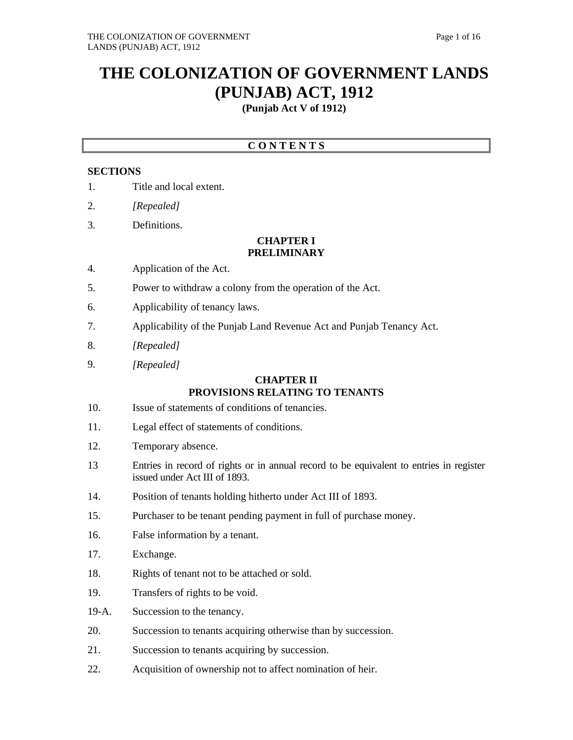# **THE COLONIZATION OF GOVERNMENT LANDS (PUNJAB) ACT, 1912**

**(Punjab Act V of 1912)**

## **C O N T E N T S**

## **SECTIONS**

- 1. Title and local extent.
- 2. *[Repealed]*
- 3. Definitions.

#### **CHAPTER I PRELIMINARY**

- 4. Application of the Act.
- 5. Power to withdraw a colony from the operation of the Act.
- 6. Applicability of tenancy laws.
- 7. Applicability of the Punjab Land Revenue Act and Punjab Tenancy Act.
- 8. *[Repealed]*
- 9. *[Repealed]*

## **CHAPTER II PROVISIONS RELATING TO TENANTS**

- 10. Issue of statements of conditions of tenancies.
- 11. Legal effect of statements of conditions.
- 12. Temporary absence.
- 13 Entries in record of rights or in annual record to be equivalent to entries in register issued under Act III of 1893.
- 14. Position of tenants holding hitherto under Act III of 1893.
- 15. Purchaser to be tenant pending payment in full of purchase money.
- 16. False information by a tenant.
- 17. Exchange.
- 18. Rights of tenant not to be attached or sold.
- 19. Transfers of rights to be void.
- 19-A. Succession to the tenancy.
- 20. Succession to tenants acquiring otherwise than by succession.
- 21. Succession to tenants acquiring by succession.
- 22. Acquisition of ownership not to affect nomination of heir.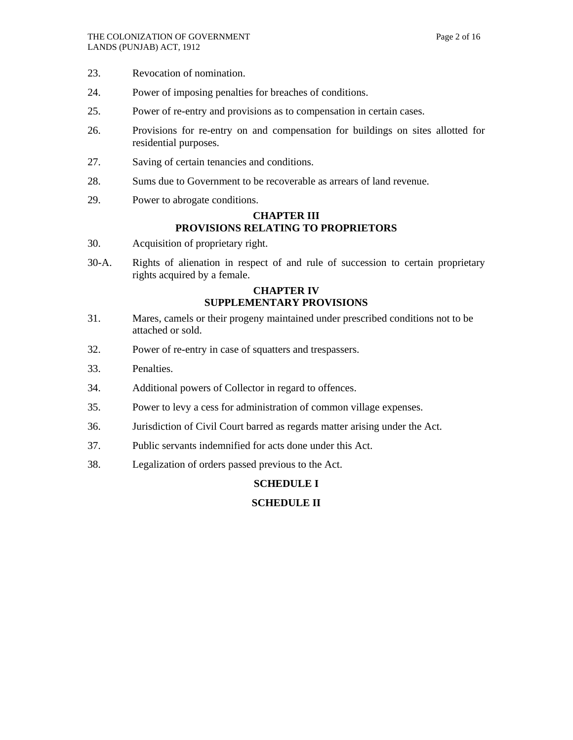- 23. Revocation of nomination.
- 24. Power of imposing penalties for breaches of conditions.
- 25. Power of re-entry and provisions as to compensation in certain cases.
- 26. Provisions for re-entry on and compensation for buildings on sites allotted for residential purposes.
- 27. Saving of certain tenancies and conditions.
- 28. Sums due to Government to be recoverable as arrears of land revenue.
- 29. Power to abrogate conditions.

## **CHAPTER III PROVISIONS RELATING TO PROPRIETORS**

- 30. Acquisition of proprietary right.
- 30-A. Rights of alienation in respect of and rule of succession to certain proprietary rights acquired by a female.

## **CHAPTER IV SUPPLEMENTARY PROVISIONS**

- 31. Mares, camels or their progeny maintained under prescribed conditions not to be attached or sold.
- 32. Power of re-entry in case of squatters and trespassers.
- 33. Penalties.
- 34. Additional powers of Collector in regard to offences.
- 35. Power to levy a cess for administration of common village expenses.
- 36. Jurisdiction of Civil Court barred as regards matter arising under the Act.
- 37. Public servants indemnified for acts done under this Act.
- 38. Legalization of orders passed previous to the Act.

## **SCHEDULE I**

## **SCHEDULE II**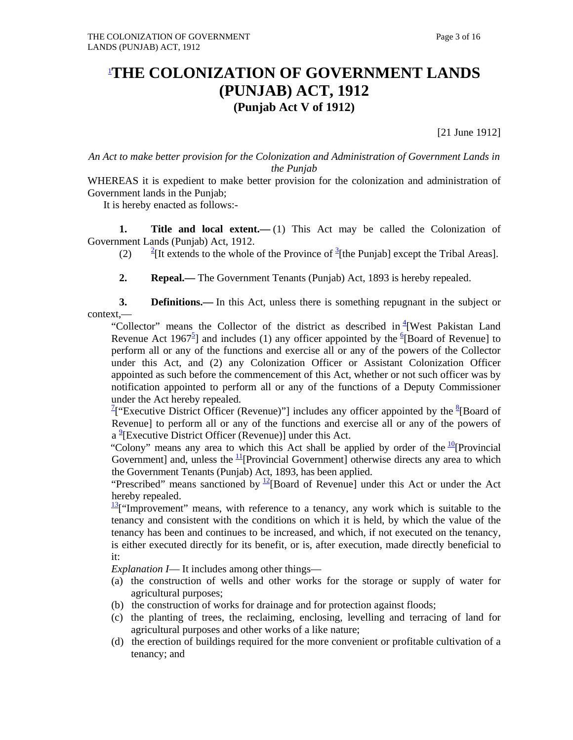## 1 **THE COLONIZATION OF GOVERNMENT LANDS (PUNJAB) ACT, 1912 (Punjab Act V of 1912)**

[21 June 1912]

*An Act to make better provision for the Colonization and Administration of Government Lands in the Punjab*

WHEREAS it is expedient to make better provision for the colonization and administration of Government lands in the Punjab;

It is hereby enacted as follows:-

**1.** Title and local extent.—(1) This Act may be called the Colonization of Government Lands (Punjab) Act, 1912.

 $(2)$ [It extends to the whole of the Province of  ${}^{3}$ [the Punjab] except the Tribal Areas].

 **2. Repeal.—** The Government Tenants (Punjab) Act, 1893 is hereby repealed.

**3. Definitions.**— In this Act, unless there is something repugnant in the subject or context,—

"Collector" means the Collector of the district as described in <sup>4</sup> [West Pakistan Land Revenue Act 1967<sup>5</sup>] and includes (1) any officer appointed by the  ${}^{6}$ [Board of Revenue] to perform all or any of the functions and exercise all or any of the powers of the Collector under this Act, and (2) any Colonization Officer or Assistant Colonization Officer appointed as such before the commencement of this Act, whether or not such officer was by notification appointed to perform all or any of the functions of a Deputy Commissioner under the Act hereby repealed.

<sup>2</sup>["Executive District Officer (Revenue)"] includes any officer appointed by the <sup>8</sup>[Board of Revenue] to perform all or any of the functions and exercise all or any of the powers of a<sup>9</sup>[Executive District Officer (Revenue)] under this Act.

"Colony" means any area to which this Act shall be applied by order of the  $\frac{10}{2}$ [Provincial] Government] and, unless the  $\frac{11}{1}$ [Provincial Government] otherwise directs any area to which the Government Tenants (Punjab) Act, 1893, has been applied.

"Prescribed" means sanctioned by  $\frac{12}{2}$ [Board of Revenue] under this Act or under the Act hereby repealed.

 $\frac{13}{11}$ "Improvement" means, with reference to a tenancy, any work which is suitable to the tenancy and consistent with the conditions on which it is held, by which the value of the tenancy has been and continues to be increased, and which, if not executed on the tenancy, is either executed directly for its benefit, or is, after execution, made directly beneficial to it:

 *Explanation I*— It includes among other things—

- (a) the construction of wells and other works for the storage or supply of water for agricultural purposes;
- (b) the construction of works for drainage and for protection against floods;
- (c) the planting of trees, the reclaiming, enclosing, levelling and terracing of land for agricultural purposes and other works of a like nature;
- (d) the erection of buildings required for the more convenient or profitable cultivation of a tenancy; and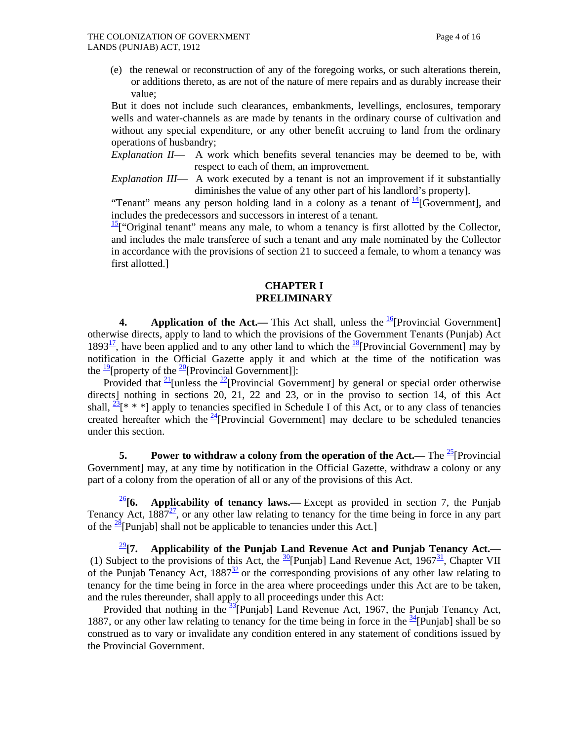(e) the renewal or reconstruction of any of the foregoing works, or such alterations therein, or additions thereto, as are not of the nature of mere repairs and as durably increase their value;

 But it does not include such clearances, embankments, levellings, enclosures, temporary wells and water-channels as are made by tenants in the ordinary course of cultivation and without any special expenditure, or any other benefit accruing to land from the ordinary operations of husbandry;

 *Explanation II*— A work which benefits several tenancies may be deemed to be, with respect to each of them, an improvement.

*Explanation III*— A work executed by a tenant is not an improvement if it substantially diminishes the value of any other part of his landlord's property].

"Tenant" means any person holding land in a colony as a tenant of  $\frac{14}{4}$ [Government], and includes the predecessors and successors in interest of a tenant.

 $\frac{15}{15}$  "Original tenant" means any male, to whom a tenancy is first allotted by the Collector, and includes the male transferee of such a tenant and any male nominated by the Collector in accordance with the provisions of section 21 to succeed a female, to whom a tenancy was first allotted.]

#### **CHAPTER I PRELIMINARY**

**4.** Application of the Act.— This Act shall, unless the  $\frac{16}{6}$ [Provincial Government] otherwise directs, apply to land to which the provisions of the Government Tenants (Punjab) Act 1893<sup>17</sup>, have been applied and to any other land to which the <sup>18</sup>[Provincial Government] may by notification in the Official Gazette apply it and which at the time of the notification was the  $\frac{19}{2}$ [property of the  $\frac{20}{2}$ [Provincial Government]]:

Provided that  $\frac{21}{2}$ [unless the  $\frac{22}{2}$ [Provincial Government] by general or special order otherwise directs] nothing in sections 20, 21, 22 and 23, or in the proviso to section 14, of this Act shall,  $\frac{23}{8}$ [\* \* \*] apply to tenancies specified in Schedule I of this Act, or to any class of tenancies created hereafter which the  $\frac{24}{1}$ Provincial Government] may declare to be scheduled tenancies under this section.

**5.** Power to withdraw a colony from the operation of the Act.— The <sup>25</sup>[Provincial] Government] may, at any time by notification in the Official Gazette, withdraw a colony or any part of a colony from the operation of all or any of the provisions of this Act.

 $\frac{26}{6}$ **6.** Applicability of tenancy laws.—Except as provided in section 7, the Punjab Tenancy Act,  $1887<sup>27</sup>$ , or any other law relating to tenancy for the time being in force in any part of the  $\frac{28}{2}$ [Punjab] shall not be applicable to tenancies under this Act.]

<sup>29</sup>**[7. Applicability of the Punjab Land Revenue Act and Punjab Tenancy Act.—** (1) Subject to the provisions of this Act, the  $\frac{30}{2}$ [Punjab] Land Revenue Act, 1967<sup>31</sup>, Chapter VII of the Punjab Tenancy Act,  $1887<sup>32</sup>$  or the corresponding provisions of any other law relating to tenancy for the time being in force in the area where proceedings under this Act are to be taken, and the rules thereunder, shall apply to all proceedings under this Act:

Provided that nothing in the  $\frac{33}{2}$ [Punjab] Land Revenue Act, 1967, the Punjab Tenancy Act, 1887, or any other law relating to tenancy for the time being in force in the  $\frac{34}{2}$ [Punjab] shall be so construed as to vary or invalidate any condition entered in any statement of conditions issued by the Provincial Government.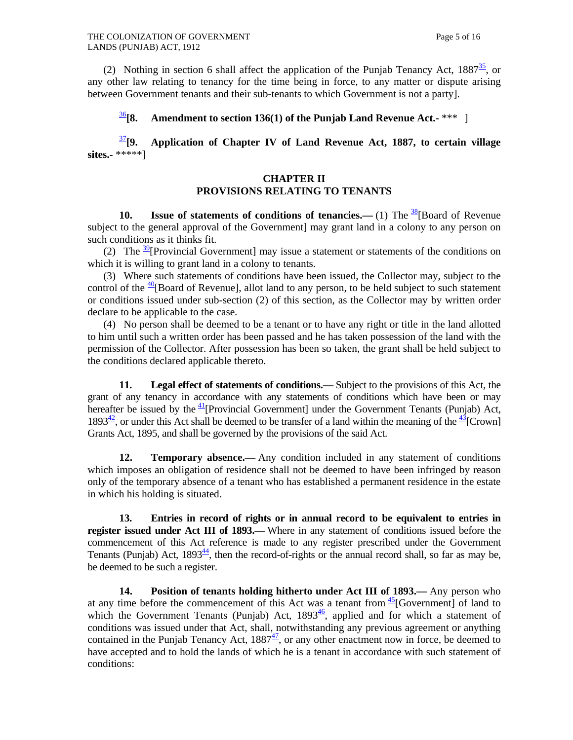(2) Nothing in section 6 shall affect the application of the Punjab Tenancy Act,  $1887\frac{35}{10}$ , or any other law relating to tenancy for the time being in force, to any matter or dispute arising between Government tenants and their sub-tenants to which Government is not a party].

<sup>36</sup>**[8. Amendment to section 136(1) of the Punjab Land Revenue Act.-** \*\*\* ]

<sup>37</sup>**[9. Application of Chapter IV of Land Revenue Act, 1887, to certain village sites.-** \*\*\*\*\*]

#### **CHAPTER II PROVISIONS RELATING TO TENANTS**

**10.** Issue of statements of conditions of tenancies.— $(1)$  The  $\frac{38}{8}$ [Board of Revenue subject to the general approval of the Government] may grant land in a colony to any person on such conditions as it thinks fit.

(2) The  $\frac{39}{2}$ [Provincial Government] may issue a statement or statements of the conditions on which it is willing to grant land in a colony to tenants.

 (3) Where such statements of conditions have been issued, the Collector may, subject to the control of the  $\frac{40}{2}$ [Board of Revenue], allot land to any person, to be held subject to such statement or conditions issued under sub-section (2) of this section, as the Collector may by written order declare to be applicable to the case.

 (4) No person shall be deemed to be a tenant or to have any right or title in the land allotted to him until such a written order has been passed and he has taken possession of the land with the permission of the Collector. After possession has been so taken, the grant shall be held subject to the conditions declared applicable thereto.

 **11. Legal effect of statements of conditions.—** Subject to the provisions of this Act, the grant of any tenancy in accordance with any statements of conditions which have been or may hereafter be issued by the  $\frac{41}{2}$ [Provincial Government] under the Government Tenants (Punjab) Act, 1893<sup>42</sup>, or under this Act shall be deemed to be transfer of a land within the meaning of the  $\frac{43}{2}$ [Crown] Grants Act, 1895, and shall be governed by the provisions of the said Act.

**12. Temporary absence.**— Any condition included in any statement of conditions which imposes an obligation of residence shall not be deemed to have been infringed by reason only of the temporary absence of a tenant who has established a permanent residence in the estate in which his holding is situated.

 **13. Entries in record of rights or in annual record to be equivalent to entries in register issued under Act III of 1893.—** Where in any statement of conditions issued before the commencement of this Act reference is made to any register prescribed under the Government Tenants (Punjab) Act,  $1893<sup>44</sup>$ , then the record-of-rights or the annual record shall, so far as may be, be deemed to be such a register.

 **14. Position of tenants holding hitherto under Act III of 1893.—** Any person who at any time before the commencement of this Act was a tenant from  $\frac{45}{5}$ [Government] of land to which the Government Tenants (Punjab) Act,  $1893\frac{46}{7}$ , applied and for which a statement of conditions was issued under that Act, shall, notwithstanding any previous agreement or anything contained in the Punjab Tenancy Act,  $1887<sup>47</sup>$ , or any other enactment now in force, be deemed to have accepted and to hold the lands of which he is a tenant in accordance with such statement of conditions: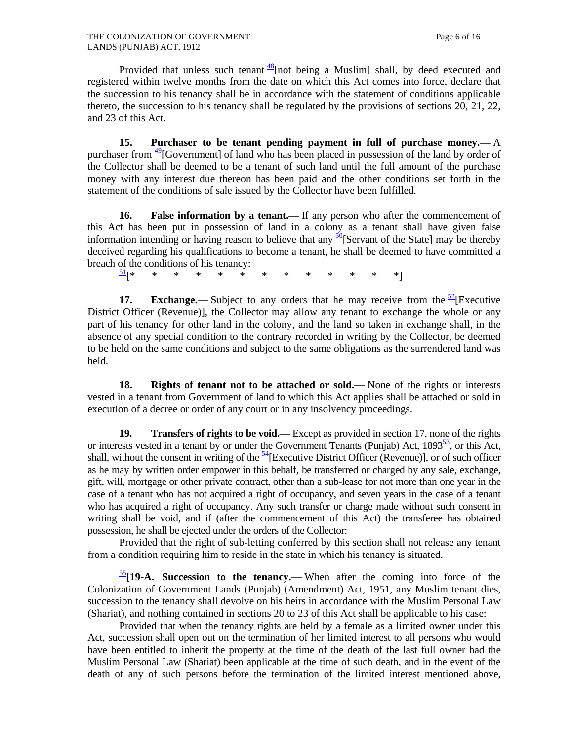Provided that unless such tenant  $\frac{48}{3}$ [not being a Muslim] shall, by deed executed and registered within twelve months from the date on which this Act comes into force, declare that the succession to his tenancy shall be in accordance with the statement of conditions applicable thereto, the succession to his tenancy shall be regulated by the provisions of sections 20, 21, 22, and 23 of this Act.

 **15. Purchaser to be tenant pending payment in full of purchase money.—** A purchaser from  $\frac{49}{9}$ [Government] of land who has been placed in possession of the land by order of the Collector shall be deemed to be a tenant of such land until the full amount of the purchase money with any interest due thereon has been paid and the other conditions set forth in the statement of the conditions of sale issued by the Collector have been fulfilled.

**16.** False information by a tenant.—If any person who after the commencement of this Act has been put in possession of land in a colony as a tenant shall have given false information intending or having reason to believe that any  $\frac{50}{15}$  Servant of the State] may be thereby deceived regarding his qualifications to become a tenant, he shall be deemed to have committed a breach of the conditions of his tenancy:

51[\* \* \* \* \* \* \* \* \* \* \* \* \*]

**17. Exchange.**— Subject to any orders that he may receive from the  $\frac{52}{2}$ [Executive District Officer (Revenue)], the Collector may allow any tenant to exchange the whole or any part of his tenancy for other land in the colony, and the land so taken in exchange shall, in the absence of any special condition to the contrary recorded in writing by the Collector, be deemed to be held on the same conditions and subject to the same obligations as the surrendered land was held.

 **18. Rights of tenant not to be attached or sold.—** None of the rights or interests vested in a tenant from Government of land to which this Act applies shall be attached or sold in execution of a decree or order of any court or in any insolvency proceedings.

**19. Transfers of rights to be void.—** Except as provided in section 17, none of the rights or interests vested in a tenant by or under the Government Tenants (Punjab) Act,  $1893^{53}$ , or this Act, shall, without the consent in writing of the  $\frac{54}{12}$ [Executive District Officer (Revenue)], or of such officer as he may by written order empower in this behalf, be transferred or charged by any sale, exchange, gift, will, mortgage or other private contract, other than a sub-lease for not more than one year in the case of a tenant who has not acquired a right of occupancy, and seven years in the case of a tenant who has acquired a right of occupancy. Any such transfer or charge made without such consent in writing shall be void, and if (after the commencement of this Act) the transferee has obtained possession, he shall be ejected under the orders of the Collector:

 Provided that the right of sub-letting conferred by this section shall not release any tenant from a condition requiring him to reside in the state in which his tenancy is situated.

 $\frac{55}{19}$ **[19-A. Succession to the tenancy.**—When after the coming into force of the Colonization of Government Lands (Punjab) (Amendment) Act, 1951, any Muslim tenant dies, succession to the tenancy shall devolve on his heirs in accordance with the Muslim Personal Law (Shariat), and nothing contained in sections 20 to 23 of this Act shall be applicable to his case:

 Provided that when the tenancy rights are held by a female as a limited owner under this Act, succession shall open out on the termination of her limited interest to all persons who would have been entitled to inherit the property at the time of the death of the last full owner had the Muslim Personal Law (Shariat) been applicable at the time of such death, and in the event of the death of any of such persons before the termination of the limited interest mentioned above,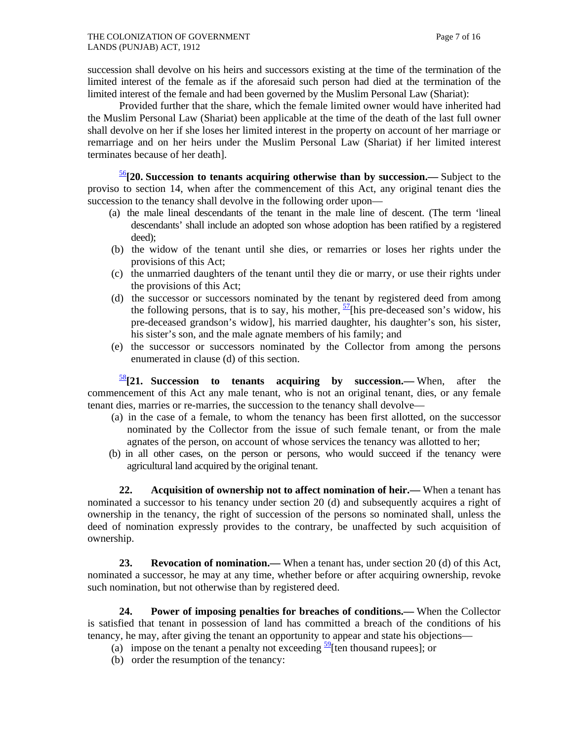succession shall devolve on his heirs and successors existing at the time of the termination of the limited interest of the female as if the aforesaid such person had died at the termination of the limited interest of the female and had been governed by the Muslim Personal Law (Shariat):

 Provided further that the share, which the female limited owner would have inherited had the Muslim Personal Law (Shariat) been applicable at the time of the death of the last full owner shall devolve on her if she loses her limited interest in the property on account of her marriage or remarriage and on her heirs under the Muslim Personal Law (Shariat) if her limited interest terminates because of her death].

<sup>56</sup>**[20. Succession to tenants acquiring otherwise than by succession.—** Subject to the proviso to section 14, when after the commencement of this Act, any original tenant dies the succession to the tenancy shall devolve in the following order upon—

- (a) the male lineal descendants of the tenant in the male line of descent. (The term 'lineal descendants' shall include an adopted son whose adoption has been ratified by a registered deed);
- (b) the widow of the tenant until she dies, or remarries or loses her rights under the provisions of this Act;
- (c) the unmarried daughters of the tenant until they die or marry, or use their rights under the provisions of this Act;
- (d) the successor or successors nominated by the tenant by registered deed from among the following persons, that is to say, his mother,  $\frac{57}{1}$ [his pre-deceased son's widow, his pre-deceased grandson's widow], his married daughter, his daughter's son, his sister, his sister's son, and the male agnate members of his family; and
- (e) the successor or successors nominated by the Collector from among the persons enumerated in clause (d) of this section.

<sup>58</sup>**[21. Succession to tenants acquiring by succession.—** When, after the commencement of this Act any male tenant, who is not an original tenant, dies, or any female tenant dies, marries or re-marries, the succession to the tenancy shall devolve—

- (a) in the case of a female, to whom the tenancy has been first allotted, on the successor nominated by the Collector from the issue of such female tenant, or from the male agnates of the person, on account of whose services the tenancy was allotted to her;
- (b) in all other cases, on the person or persons, who would succeed if the tenancy were agricultural land acquired by the original tenant.

 **22. Acquisition of ownership not to affect nomination of heir.—** When a tenant has nominated a successor to his tenancy under section 20 (d) and subsequently acquires a right of ownership in the tenancy, the right of succession of the persons so nominated shall, unless the deed of nomination expressly provides to the contrary, be unaffected by such acquisition of ownership.

**23. Revocation of nomination.—** When a tenant has, under section 20 (d) of this Act, nominated a successor, he may at any time, whether before or after acquiring ownership, revoke such nomination, but not otherwise than by registered deed.

 **24. Power of imposing penalties for breaches of conditions.—** When the Collector is satisfied that tenant in possession of land has committed a breach of the conditions of his tenancy, he may, after giving the tenant an opportunity to appear and state his objections—

- (a) impose on the tenant a penalty not exceeding  $\frac{59}{2}$ [ten thousand rupees]; or
- (b) order the resumption of the tenancy: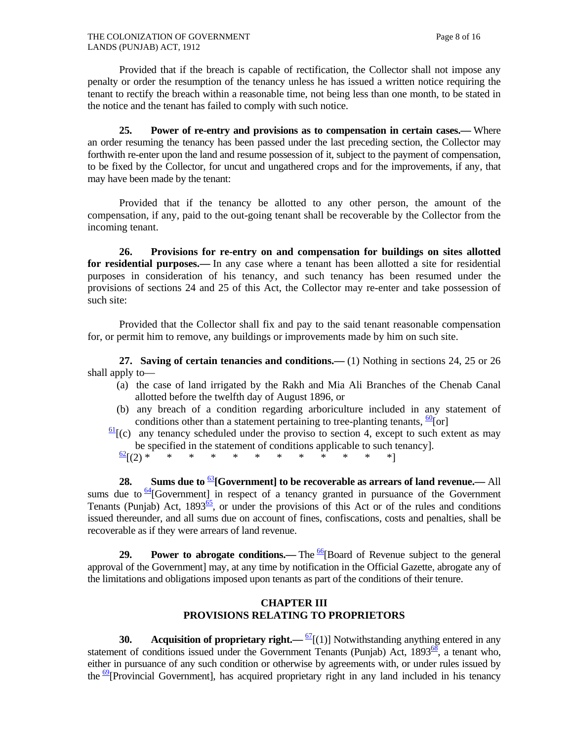Provided that if the breach is capable of rectification, the Collector shall not impose any penalty or order the resumption of the tenancy unless he has issued a written notice requiring the tenant to rectify the breach within a reasonable time, not being less than one month, to be stated in the notice and the tenant has failed to comply with such notice.

 **25. Power of re-entry and provisions as to compensation in certain cases.—** Where an order resuming the tenancy has been passed under the last preceding section, the Collector may forthwith re-enter upon the land and resume possession of it, subject to the payment of compensation, to be fixed by the Collector, for uncut and ungathered crops and for the improvements, if any, that may have been made by the tenant:

 Provided that if the tenancy be allotted to any other person, the amount of the compensation, if any, paid to the out-going tenant shall be recoverable by the Collector from the incoming tenant.

 **26. Provisions for re-entry on and compensation for buildings on sites allotted for residential purposes.—** In any case where a tenant has been allotted a site for residential purposes in consideration of his tenancy, and such tenancy has been resumed under the provisions of sections 24 and 25 of this Act, the Collector may re-enter and take possession of such site:

 Provided that the Collector shall fix and pay to the said tenant reasonable compensation for, or permit him to remove, any buildings or improvements made by him on such site.

 **27. Saving of certain tenancies and conditions.—** (1) Nothing in sections 24, 25 or 26 shall apply to—

- (a) the case of land irrigated by the Rakh and Mia Ali Branches of the Chenab Canal allotted before the twelfth day of August 1896, or
- (b) any breach of a condition regarding arboriculture included in any statement of conditions other than a statement pertaining to tree-planting tenants,  $\frac{60}{ }[\text{or}]$
- $\frac{61}{6}$ [(c) any tenancy scheduled under the proviso to section 4, except to such extent as may be specified in the statement of conditions applicable to such tenancy].  $\frac{62}{1}(2)*$  \* \* \* \* \* \* \* \* \* \* \* \*

**28.** Sums due to <sup>63</sup>[Government] to be recoverable as arrears of land revenue.— All sums due to  $64$ [Government] in respect of a tenancy granted in pursuance of the Government Tenants (Punjab) Act,  $1893^{65}$ , or under the provisions of this Act or of the rules and conditions issued thereunder, and all sums due on account of fines, confiscations, costs and penalties, shall be recoverable as if they were arrears of land revenue.

**29. Power to abrogate conditions.—** The  $\frac{66}{6}$ [Board of Revenue subject to the general approval of the Government] may, at any time by notification in the Official Gazette, abrogate any of the limitations and obligations imposed upon tenants as part of the conditions of their tenure.

#### **CHAPTER III PROVISIONS RELATING TO PROPRIETORS**

**30.** Acquisition of proprietary right.— $\frac{67}{1}$ [(1)] Notwithstanding anything entered in any statement of conditions issued under the Government Tenants (Punjab) Act,  $1893^{\overline{68}}$ , a tenant who, either in pursuance of any such condition or otherwise by agreements with, or under rules issued by the  $\frac{69}{9}$ [Provincial Government], has acquired proprietary right in any land included in his tenancy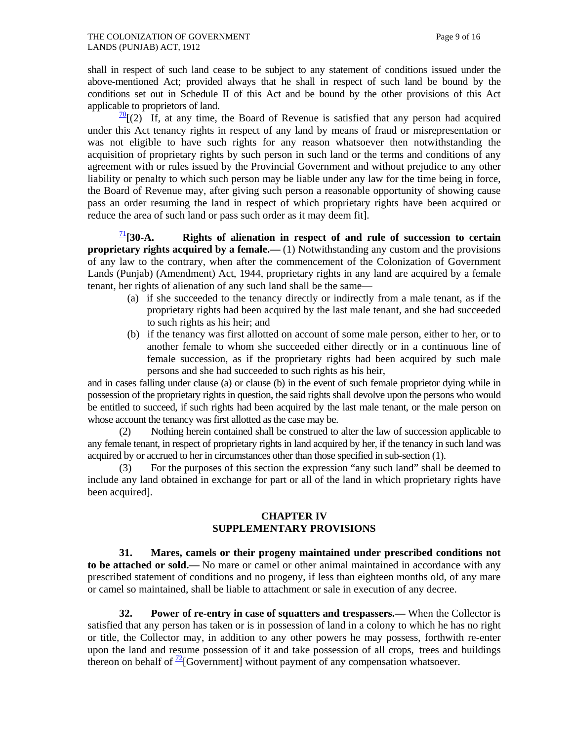shall in respect of such land cease to be subject to any statement of conditions issued under the above-mentioned Act; provided always that he shall in respect of such land be bound by the conditions set out in Schedule II of this Act and be bound by the other provisions of this Act applicable to proprietors of land.

 $\frac{70}{2}$ [(2) If, at any time, the Board of Revenue is satisfied that any person had acquired under this Act tenancy rights in respect of any land by means of fraud or misrepresentation or was not eligible to have such rights for any reason whatsoever then notwithstanding the acquisition of proprietary rights by such person in such land or the terms and conditions of any agreement with or rules issued by the Provincial Government and without prejudice to any other liability or penalty to which such person may be liable under any law for the time being in force, the Board of Revenue may, after giving such person a reasonable opportunity of showing cause pass an order resuming the land in respect of which proprietary rights have been acquired or reduce the area of such land or pass such order as it may deem fit].

 $\frac{1}{2}$ [30-A. Rights of alienation in respect of and rule of succession to certain **proprietary rights acquired by a female.—** (1) Notwithstanding any custom and the provisions of any law to the contrary, when after the commencement of the Colonization of Government Lands (Punjab) (Amendment) Act, 1944, proprietary rights in any land are acquired by a female tenant, her rights of alienation of any such land shall be the same—

- (a) if she succeeded to the tenancy directly or indirectly from a male tenant, as if the proprietary rights had been acquired by the last male tenant, and she had succeeded to such rights as his heir; and
- (b) if the tenancy was first allotted on account of some male person, either to her, or to another female to whom she succeeded either directly or in a continuous line of female succession, as if the proprietary rights had been acquired by such male persons and she had succeeded to such rights as his heir,

and in cases falling under clause (a) or clause (b) in the event of such female proprietor dying while in possession of the proprietary rights in question, the said rights shall devolve upon the persons who would be entitled to succeed, if such rights had been acquired by the last male tenant, or the male person on whose account the tenancy was first allotted as the case may be.

 (2) Nothing herein contained shall be construed to alter the law of succession applicable to any female tenant, in respect of proprietary rights in land acquired by her, if the tenancy in such land was acquired by or accrued to her in circumstances other than those specified in sub-section (1).

For the purposes of this section the expression "any such land" shall be deemed to include any land obtained in exchange for part or all of the land in which proprietary rights have been acquired].

#### **CHAPTER IV SUPPLEMENTARY PROVISIONS**

 **31. Mares, camels or their progeny maintained under prescribed conditions not to be attached or sold.—** No mare or camel or other animal maintained in accordance with any prescribed statement of conditions and no progeny, if less than eighteen months old, of any mare or camel so maintained, shall be liable to attachment or sale in execution of any decree.

 **32. Power of re-entry in case of squatters and trespassers.—** When the Collector is satisfied that any person has taken or is in possession of land in a colony to which he has no right or title, the Collector may, in addition to any other powers he may possess, forthwith re-enter upon the land and resume possession of it and take possession of all crops, trees and buildings thereon on behalf of  $\frac{72}{2}$ [Government] without payment of any compensation whatsoever.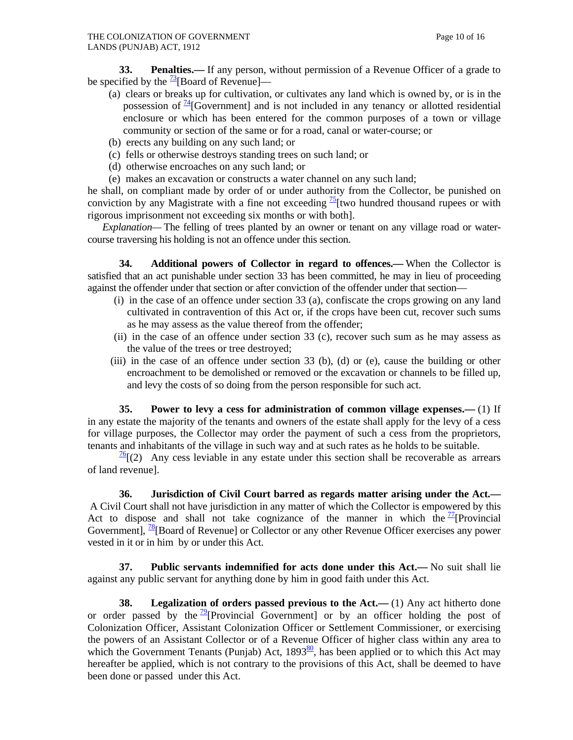**33. Penalties.**— If any person, without permission of a Revenue Officer of a grade to be specified by the  $\frac{73}{2}$ [Board of Revenue]—

- (a) clears or breaks up for cultivation, or cultivates any land which is owned by, or is in the possession of  $\frac{74}{16}$  Government] and is not included in any tenancy or allotted residential enclosure or which has been entered for the common purposes of a town or village community or section of the same or for a road, canal or water-course; or
- (b) erects any building on any such land; or
- (c) fells or otherwise destroys standing trees on such land; or
- (d) otherwise encroaches on any such land; or
- (e) makes an excavation or constructs a water channel on any such land;

he shall, on compliant made by order of or under authority from the Collector, be punished on conviction by any Magistrate with a fine not exceeding  $\frac{75}{2}$  two hundred thousand rupees or with rigorous imprisonment not exceeding six months or with both].

 *Explanation—* The felling of trees planted by an owner or tenant on any village road or watercourse traversing his holding is not an offence under this section.

 **34. Additional powers of Collector in regard to offences.—** When the Collector is satisfied that an act punishable under section 33 has been committed, he may in lieu of proceeding against the offender under that section or after conviction of the offender under that section—

- (i) in the case of an offence under section 33 (a), confiscate the crops growing on any land cultivated in contravention of this Act or, if the crops have been cut, recover such sums as he may assess as the value thereof from the offender;
- (ii) in the case of an offence under section 33 (c), recover such sum as he may assess as the value of the trees or tree destroyed;
- (iii) in the case of an offence under section 33 (b), (d) or (e), cause the building or other encroachment to be demolished or removed or the excavation or channels to be filled up, and levy the costs of so doing from the person responsible for such act.

 **35. Power to levy a cess for administration of common village expenses.—** (1) If in any estate the majority of the tenants and owners of the estate shall apply for the levy of a cess for village purposes, the Collector may order the payment of such a cess from the proprietors, tenants and inhabitants of the village in such way and at such rates as he holds to be suitable.

 $\frac{76}{6}$  (2) Any cess leviable in any estate under this section shall be recoverable as arrears of land revenue].

 **36. Jurisdiction of Civil Court barred as regards matter arising under the Act.—** A Civil Court shall not have jurisdiction in any matter of which the Collector is empowered by this Act to dispose and shall not take cognizance of the manner in which the  $\frac{17}{2}$ [Provincial] Government], <sup>78</sup>[Board of Revenue] or Collector or any other Revenue Officer exercises any power vested in it or in him by or under this Act.

 **37. Public servants indemnified for acts done under this Act.—** No suit shall lie against any public servant for anything done by him in good faith under this Act.

 **38. Legalization of orders passed previous to the Act.—** (1) Any act hitherto done or order passed by the  $\frac{19}{2}$ [Provincial Government] or by an officer holding the post of Colonization Officer, Assistant Colonization Officer or Settlement Commissioner, or exercising the powers of an Assistant Collector or of a Revenue Officer of higher class within any area to which the Government Tenants (Punjab) Act,  $1893\frac{80}{6}$ , has been applied or to which this Act may hereafter be applied, which is not contrary to the provisions of this Act, shall be deemed to have been done or passed under this Act.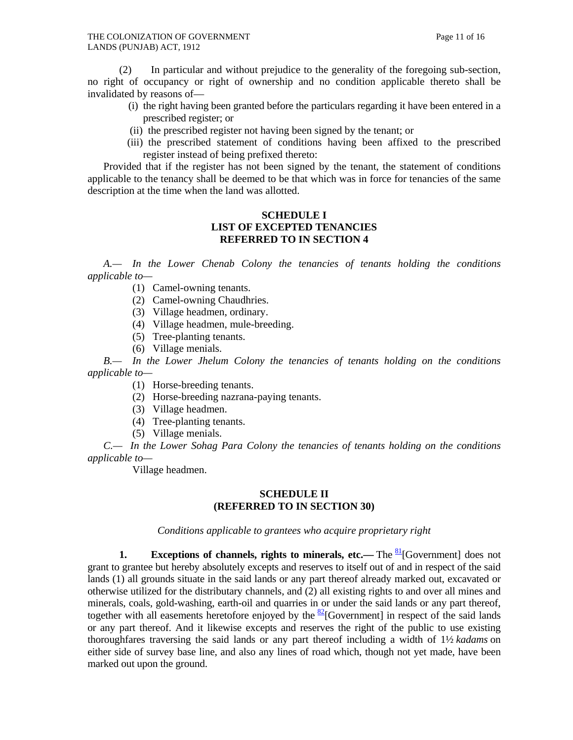(2) In particular and without prejudice to the generality of the foregoing sub-section, no right of occupancy or right of ownership and no condition applicable thereto shall be invalidated by reasons of—

- (i) the right having been granted before the particulars regarding it have been entered in a prescribed register; or
- (ii) the prescribed register not having been signed by the tenant; or
- (iii) the prescribed statement of conditions having been affixed to the prescribed register instead of being prefixed thereto:

 Provided that if the register has not been signed by the tenant, the statement of conditions applicable to the tenancy shall be deemed to be that which was in force for tenancies of the same description at the time when the land was allotted.

## **SCHEDULE I LIST OF EXCEPTED TENANCIES REFERRED TO IN SECTION 4**

 *A.— In the Lower Chenab Colony the tenancies of tenants holding the conditions applicable to—*

- (1) Camel-owning tenants.
- (2) Camel-owning Chaudhries.
- (3) Village headmen, ordinary.
- (4) Village headmen, mule-breeding.
- (5) Tree-planting tenants.
- (6) Village menials.

 *B.— In the Lower Jhelum Colony the tenancies of tenants holding on the conditions applicable to—*

(1) Horse-breeding tenants.

- (2) Horse-breeding nazrana-paying tenants.
- (3) Village headmen.
- (4) Tree-planting tenants.
- (5) Village menials.

 *C.— In the Lower Sohag Para Colony the tenancies of tenants holding on the conditions applicable to—*

Village headmen.

### **SCHEDULE II (REFERRED TO IN SECTION 30)**

*Conditions applicable to grantees who acquire proprietary right*

**1.** Exceptions of channels, rights to minerals, etc.— The <sup>81</sup>[Government] does not grant to grantee but hereby absolutely excepts and reserves to itself out of and in respect of the said lands (1) all grounds situate in the said lands or any part thereof already marked out, excavated or otherwise utilized for the distributary channels, and (2) all existing rights to and over all mines and minerals, coals, gold-washing, earth-oil and quarries in or under the said lands or any part thereof, together with all easements heretofore enjoyed by the  $\frac{82}{2}$ [Government] in respect of the said lands or any part thereof. And it likewise excepts and reserves the right of the public to use existing thoroughfares traversing the said lands or any part thereof including a width of 1½ *kadams* on either side of survey base line, and also any lines of road which, though not yet made, have been marked out upon the ground.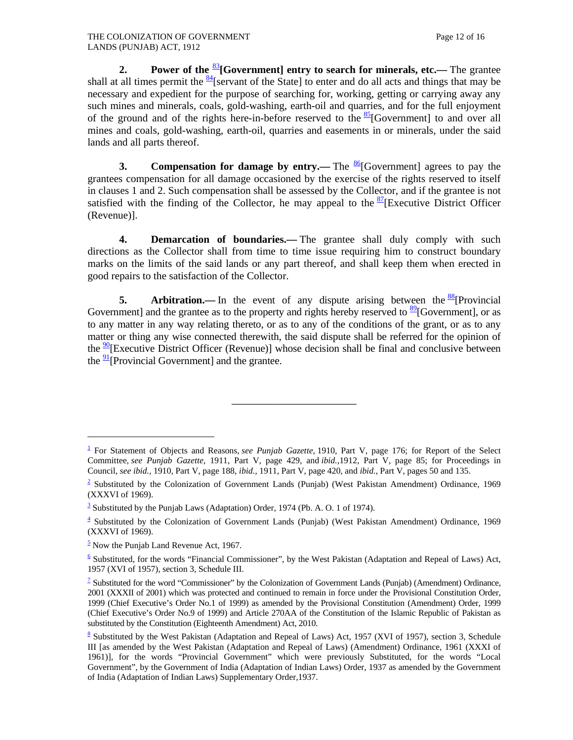**2.** Power of the <sup>83</sup>[Government] entry to search for minerals, etc.— The grantee shall at all times permit the  $\frac{84}{1}$ [servant of the State] to enter and do all acts and things that may be necessary and expedient for the purpose of searching for, working, getting or carrying away any such mines and minerals, coals, gold-washing, earth-oil and quarries, and for the full enjoyment of the ground and of the rights here-in-before reserved to the  $85$ [Government] to and over all mines and coals, gold-washing, earth-oil, quarries and easements in or minerals, under the said lands and all parts thereof.

**3.** Compensation for damage by entry.— The  $\frac{86}{6}$ [Government] agrees to pay the grantees compensation for all damage occasioned by the exercise of the rights reserved to itself in clauses 1 and 2. Such compensation shall be assessed by the Collector, and if the grantee is not satisfied with the finding of the Collector, he may appeal to the  $\frac{87}{8}$ [Executive District Officer (Revenue)].

 **4. Demarcation of boundaries.—** The grantee shall duly comply with such directions as the Collector shall from time to time issue requiring him to construct boundary marks on the limits of the said lands or any part thereof, and shall keep them when erected in good repairs to the satisfaction of the Collector.

**5.** Arbitration.— In the event of any dispute arising between the  $\frac{88}{8}$ [Provincial] Government] and the grantee as to the property and rights hereby reserved to  $\frac{89}{9}$ [Government], or as to any matter in any way relating thereto, or as to any of the conditions of the grant, or as to any matter or thing any wise connected therewith, the said dispute shall be referred for the opinion of the  $\frac{90}{1}$ [Executive District Officer (Revenue)] whose decision shall be final and conclusive between the  $\frac{91}{2}$ [Provincial Government] and the grantee.

\_\_\_\_\_\_\_\_\_\_\_\_\_\_\_\_\_\_\_\_\_

 $\overline{a}$ 

<sup>&</sup>lt;sup>1</sup> For Statement of Objects and Reasons, *see Punjab Gazette*, 1910, Part V, page 176; for Report of the Select Committee, *see Punjab Gazette*, 1911, Part V, page 429, and *ibid.,*1912, Part V, page 85; for Proceedings in Council, *see ibid.,* 1910, Part V, page 188, *ibid.,* 1911, Part V, page 420, and *ibid.,* Part V, pages 50 and 135.

 $2$  Substituted by the Colonization of Government Lands (Punjab) (West Pakistan Amendment) Ordinance, 1969 (XXXVI of 1969).

 $\frac{3}{3}$  Substituted by the Punjab Laws (Adaptation) Order, 1974 (Pb. A. O. 1 of 1974).

<sup>&</sup>lt;sup>4</sup> Substituted by the Colonization of Government Lands (Punjab) (West Pakistan Amendment) Ordinance, 1969 (XXXVI of 1969).

 $\frac{5}{2}$  Now the Punjab Land Revenue Act, 1967.

 $\frac{6}{5}$  Substituted, for the words "Financial Commissioner", by the West Pakistan (Adaptation and Repeal of Laws) Act, 1957 (XVI of 1957), section 3, Schedule III.

<sup>&</sup>lt;sup>7</sup> Substituted for the word "Commissioner" by the Colonization of Government Lands (Punjab) (Amendment) Ordinance, 2001 (XXXII of 2001) which was protected and continued to remain in force under the Provisional Constitution Order, 1999 (Chief Executive's Order No.1 of 1999) as amended by the Provisional Constitution (Amendment) Order, 1999 (Chief Executive's Order No.9 of 1999) and Article 270AA of the Constitution of the Islamic Republic of Pakistan as substituted by the Constitution (Eighteenth Amendment) Act, 2010.

<sup>&</sup>lt;sup>8</sup> Substituted by the West Pakistan (Adaptation and Repeal of Laws) Act, 1957 (XVI of 1957), section 3, Schedule III [as amended by the West Pakistan (Adaptation and Repeal of Laws) (Amendment) Ordinance, 1961 (XXXI of 1961)], for the words "Provincial Government" which were previously Substituted, for the words "Local Government", by the Government of India (Adaptation of Indian Laws) Order, 1937 as amended by the Government of India (Adaptation of Indian Laws) Supplementary Order,1937.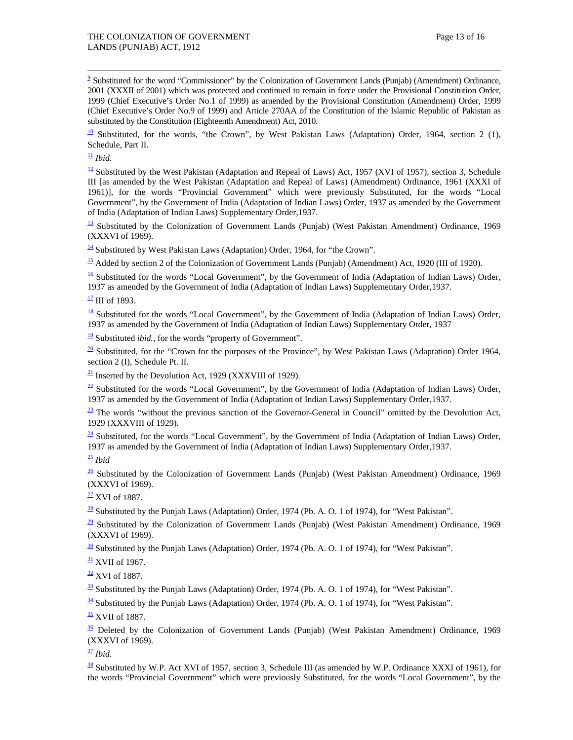9 <sup>9</sup> Substituted for the word "Commissioner" by the Colonization of Government Lands (Punjab) (Amendment) Ordinance, 2001 (XXXII of 2001) which was protected and continued to remain in force under the Provisional Constitution Order, 1999 (Chief Executive's Order No.1 of 1999) as amended by the Provisional Constitution (Amendment) Order, 1999 (Chief Executive's Order No.9 of 1999) and Article 270AA of the Constitution of the Islamic Republic of Pakistan as substituted by the Constitution (Eighteenth Amendment) Act, 2010.

 $\frac{10}{10}$  Substituted, for the words, "the Crown", by West Pakistan Laws (Adaptation) Order, 1964, section 2 (1), Schedule, Part II.

 $\frac{11}{2}$  *Ibid.* 

 $\frac{12}{2}$  Substituted by the West Pakistan (Adaptation and Repeal of Laws) Act, 1957 (XVI of 1957), section 3, Schedule III [as amended by the West Pakistan (Adaptation and Repeal of Laws) (Amendment) Ordinance, 1961 (XXXI of 1961)], for the words "Provincial Government" which were previously Substituted, for the words "Local Government", by the Government of India (Adaptation of Indian Laws) Order, 1937 as amended by the Government of India (Adaptation of Indian Laws) Supplementary Order,1937.

 $\frac{13}{13}$  Substituted by the Colonization of Government Lands (Punjab) (West Pakistan Amendment) Ordinance, 1969 (XXXVI of 1969).

 $\frac{14}{14}$  Substituted by West Pakistan Laws (Adaptation) Order, 1964, for "the Crown".

15 Added by section 2 of the Colonization of Government Lands (Punjab) (Amendment) Act, 1920 (III of 1920).

<sup>16</sup> Substituted for the words "Local Government", by the Government of India (Adaptation of Indian Laws) Order, 1937 as amended by the Government of India (Adaptation of Indian Laws) Supplementary Order,1937.

 $\frac{17}{11}$  III of 1893.

 $\frac{18}{18}$  Substituted for the words "Local Government", by the Government of India (Adaptation of Indian Laws) Order, 1937 as amended by the Government of India (Adaptation of Indian Laws) Supplementary Order, 1937

 $\frac{19}{2}$  Substituted *ibid.*, for the words "property of Government".

 $\frac{20}{20}$  Substituted, for the "Crown for the purposes of the Province", by West Pakistan Laws (Adaptation) Order 1964, section 2 (I), Schedule Pt. II.

 $\frac{21}{21}$  Inserted by the Devolution Act, 1929 (XXXVIII of 1929).

 $\frac{22}{2}$  Substituted for the words "Local Government", by the Government of India (Adaptation of Indian Laws) Order, 1937 as amended by the Government of India (Adaptation of Indian Laws) Supplementary Order,1937.

 $\frac{23}{21}$  The words "without the previous sanction of the Governor-General in Council" omitted by the Devolution Act, 1929 (XXXVIII of 1929).

 $\frac{24}{3}$  Substituted, for the words "Local Government", by the Government of India (Adaptation of Indian Laws) Order, 1937 as amended by the Government of India (Adaptation of Indian Laws) Supplementary Order,1937.

 $\frac{25}{ }$  *Ibid* 

 $\frac{26}{3}$  Substituted by the Colonization of Government Lands (Punjab) (West Pakistan Amendment) Ordinance, 1969 (XXXVI of 1969).

 $\frac{27}{2}$  XVI of 1887.

 $\frac{28}{3}$  Substituted by the Punjab Laws (Adaptation) Order, 1974 (Pb. A. O. 1 of 1974), for "West Pakistan".

 $\frac{29}{2}$  Substituted by the Colonization of Government Lands (Punjab) (West Pakistan Amendment) Ordinance, 1969 (XXXVI of 1969).

 $\frac{30}{20}$  Substituted by the Punjab Laws (Adaptation) Order, 1974 (Pb. A. O. 1 of 1974), for "West Pakistan".

<sup>31</sup> XVII of 1967.

 $\frac{32}{2}$  XVI of 1887.

 $\frac{33}{21}$  Substituted by the Punjab Laws (Adaptation) Order, 1974 (Pb. A. O. 1 of 1974), for "West Pakistan".

 $\frac{34}{34}$  Substituted by the Punjab Laws (Adaptation) Order, 1974 (Pb. A. O. 1 of 1974), for "West Pakistan".

 $\frac{35}{2}$  XVII of 1887.

 $\frac{36}{20}$  Deleted by the Colonization of Government Lands (Punjab) (West Pakistan Amendment) Ordinance, 1969 (XXXVI of 1969).

<sup>37</sup> *Ibid.*

 $\frac{38}{10}$  Substituted by W.P. Act XVI of 1957, section 3, Schedule III (as amended by W.P. Ordinance XXXI of 1961), for the words "Provincial Government" which were previously Substituted, for the words "Local Government", by the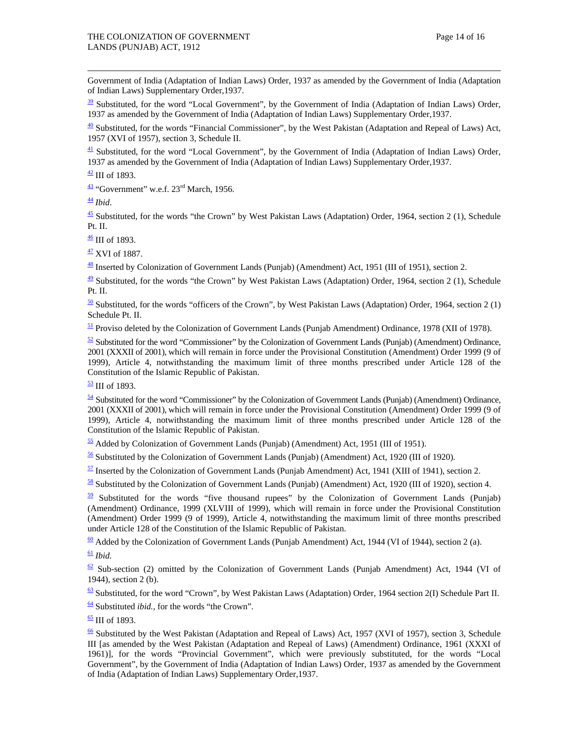Government of India (Adaptation of Indian Laws) Order, 1937 as amended by the Government of India (Adaptation of Indian Laws) Supplementary Order,1937.

 $\frac{39}{22}$  Substituted, for the word "Local Government", by the Government of India (Adaptation of Indian Laws) Order, 1937 as amended by the Government of India (Adaptation of Indian Laws) Supplementary Order,1937.

 $\frac{40}{2}$  Substituted, for the words "Financial Commissioner", by the West Pakistan (Adaptation and Repeal of Laws) Act, 1957 (XVI of 1957), section 3, Schedule II.

 $\frac{41}{1}$  Substituted, for the word "Local Government", by the Government of India (Adaptation of Indian Laws) Order, 1937 as amended by the Government of India (Adaptation of Indian Laws) Supplementary Order,1937.

 $\frac{42}{111}$  of 1893.

 $\frac{43}{1}$  "Government" w.e.f. 23<sup>rd</sup> March, 1956.

 $\frac{44}{3}$  *Ibid.* 

 $\frac{45}{2}$  Substituted, for the words "the Crown" by West Pakistan Laws (Adaptation) Order, 1964, section 2 (1), Schedule Pt. II.

 $\frac{46}{10}$  III of 1893.

 $\frac{47}{12}$  XVI of 1887.

48 Inserted by Colonization of Government Lands (Punjab) (Amendment) Act, 1951 (III of 1951), section 2.

 $\frac{49}{2}$  Substituted, for the words "the Crown" by West Pakistan Laws (Adaptation) Order, 1964, section 2 (1), Schedule Pt. II.

 $\frac{50}{2}$  Substituted, for the words "officers of the Crown", by West Pakistan Laws (Adaptation) Order, 1964, section 2 (1) Schedule Pt. II.

 $\frac{51}{2}$  Proviso deleted by the Colonization of Government Lands (Punjab Amendment) Ordinance, 1978 (XII of 1978).

 $\frac{52}{2}$  Substituted for the word "Commissioner" by the Colonization of Government Lands (Punjab) (Amendment) Ordinance, 2001 (XXXII of 2001), which will remain in force under the Provisional Constitution (Amendment) Order 1999 (9 of 1999), Article 4, notwithstanding the maximum limit of three months prescribed under Article 128 of the Constitution of the Islamic Republic of Pakistan.

 $\frac{53}{2}$  III of 1893.

 $\frac{54}{2}$  Substituted for the word "Commissioner" by the Colonization of Government Lands (Punjab) (Amendment) Ordinance, 2001 (XXXII of 2001), which will remain in force under the Provisional Constitution (Amendment) Order 1999 (9 of 1999), Article 4, notwithstanding the maximum limit of three months prescribed under Article 128 of the Constitution of the Islamic Republic of Pakistan.

 $\frac{55}{2}$  Added by Colonization of Government Lands (Punjab) (Amendment) Act, 1951 (III of 1951).

56 Substituted by the Colonization of Government Lands (Punjab) (Amendment) Act, 1920 (III of 1920).

 $\frac{57}{21}$  Inserted by the Colonization of Government Lands (Punjab Amendment) Act, 1941 (XIII of 1941), section 2.

58 Substituted by the Colonization of Government Lands (Punjab) (Amendment) Act, 1920 (III of 1920), section 4.

 $59$  Substituted for the words "five thousand rupees" by the Colonization of Government Lands (Punjab) (Amendment) Ordinance, 1999 (XLVIII of 1999), which will remain in force under the Provisional Constitution (Amendment) Order 1999 (9 of 1999), Article 4, notwithstanding the maximum limit of three months prescribed under Article 128 of the Constitution of the Islamic Republic of Pakistan.

 $\frac{60}{2}$  Added by the Colonization of Government Lands (Punjab Amendment) Act, 1944 (VI of 1944), section 2 (a).

 $\frac{61}{ }$ *Ibid.* 

 $62$  Sub-section (2) omitted by the Colonization of Government Lands (Punjab Amendment) Act, 1944 (VI of 1944)*,* section 2 (b).

 $63$  Substituted, for the word "Crown", by West Pakistan Laws (Adaptation) Order, 1964 section 2(I) Schedule Part II.

64 Substituted *ibid.,* for the words "the Crown".

 $\frac{65}{2}$  III of 1893.

 $\frac{66}{2}$  Substituted by the West Pakistan (Adaptation and Repeal of Laws) Act, 1957 (XVI of 1957), section 3, Schedule III [as amended by the West Pakistan (Adaptation and Repeal of Laws) (Amendment) Ordinance, 1961 (XXXI of 1961)], for the words "Provincial Government", which were previously substituted, for the words "Local Government", by the Government of India (Adaptation of Indian Laws) Order, 1937 as amended by the Government of India (Adaptation of Indian Laws) Supplementary Order,1937.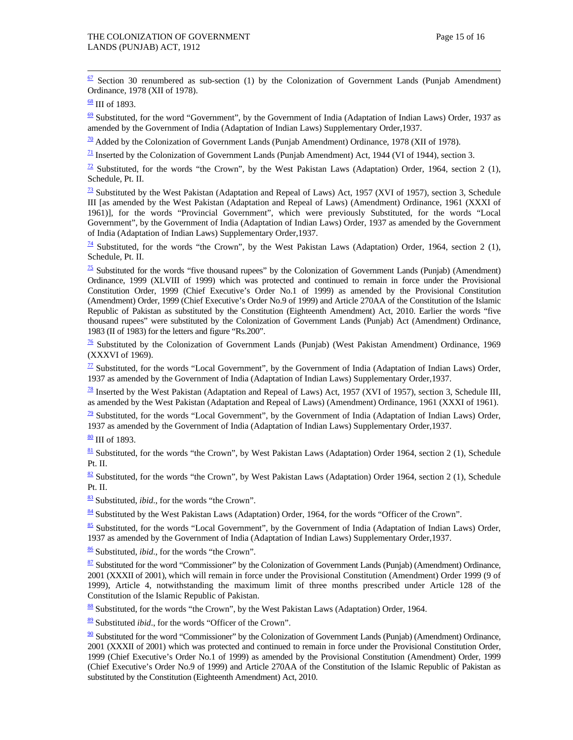$\frac{67}{2}$  Section 30 renumbered as sub-section (1) by the Colonization of Government Lands (Punjab Amendment) Ordinance, 1978 (XII of 1978).

 $\frac{68}{111}$  of 1893.

 $\frac{69}{2}$  Substituted, for the word "Government", by the Government of India (Adaptation of Indian Laws) Order, 1937 as amended by the Government of India (Adaptation of Indian Laws) Supplementary Order,1937.

 $\frac{70}{2}$  Added by the Colonization of Government Lands (Punjab Amendment) Ordinance, 1978 (XII of 1978).

 $\frac{71}{21}$  Inserted by the Colonization of Government Lands (Punjab Amendment) Act, 1944 (VI of 1944), section 3.

 $\frac{72}{2}$  Substituted, for the words "the Crown", by the West Pakistan Laws (Adaptation) Order, 1964, section 2 (1), Schedule, Pt. II.

 $\frac{73}{2}$  Substituted by the West Pakistan (Adaptation and Repeal of Laws) Act, 1957 (XVI of 1957), section 3, Schedule III [as amended by the West Pakistan (Adaptation and Repeal of Laws) (Amendment) Ordinance, 1961 (XXXI of 1961)], for the words "Provincial Government", which were previously Substituted, for the words "Local Government", by the Government of India (Adaptation of Indian Laws) Order, 1937 as amended by the Government of India (Adaptation of Indian Laws) Supplementary Order,1937.

 $\frac{74}{4}$  Substituted, for the words "the Crown", by the West Pakistan Laws (Adaptation) Order, 1964, section 2 (1), Schedule, Pt. II.

 $\frac{75}{25}$  Substituted for the words "five thousand rupees" by the Colonization of Government Lands (Punjab) (Amendment) Ordinance, 1999 (XLVIII of 1999) which was protected and continued to remain in force under the Provisional Constitution Order, 1999 (Chief Executive's Order No.1 of 1999) as amended by the Provisional Constitution (Amendment) Order, 1999 (Chief Executive's Order No.9 of 1999) and Article 270AA of the Constitution of the Islamic Republic of Pakistan as substituted by the Constitution (Eighteenth Amendment) Act, 2010. Earlier the words "five thousand rupees" were substituted by the Colonization of Government Lands (Punjab) Act (Amendment) Ordinance, 1983 (II of 1983) for the letters and figure "Rs.200".

 $\frac{76}{10}$  Substituted by the Colonization of Government Lands (Punjab) (West Pakistan Amendment) Ordinance, 1969 (XXXVI of 1969).

 $\frac{77}{12}$  Substituted, for the words "Local Government", by the Government of India (Adaptation of Indian Laws) Order, 1937 as amended by the Government of India (Adaptation of Indian Laws) Supplementary Order,1937.

 $\frac{78}{18}$  Inserted by the West Pakistan (Adaptation and Repeal of Laws) Act, 1957 (XVI of 1957), section 3, Schedule III, as amended by the West Pakistan (Adaptation and Repeal of Laws) (Amendment) Ordinance, 1961 (XXXI of 1961).

 $\frac{79}{2}$  Substituted, for the words "Local Government", by the Government of India (Adaptation of Indian Laws) Order, 1937 as amended by the Government of India (Adaptation of Indian Laws) Supplementary Order,1937.

 $\frac{80}{111}$  of 1893.

 $81$  Substituted, for the words "the Crown", by West Pakistan Laws (Adaptation) Order 1964, section 2 (1), Schedule Pt. II.

 $\frac{82}{2}$  Substituted, for the words "the Crown", by West Pakistan Laws (Adaptation) Order 1964, section 2 (1), Schedule Pt. II.

<sup>83</sup> Substituted, *ibid*., for the words "the Crown".

 $\frac{84}{3}$  Substituted by the West Pakistan Laws (Adaptation) Order, 1964, for the words "Officer of the Crown".

85 Substituted, for the words "Local Government", by the Government of India (Adaptation of Indian Laws) Order, 1937 as amended by the Government of India (Adaptation of Indian Laws) Supplementary Order,1937.

<sup>86</sup> Substituted, *ibid*., for the words "the Crown".

 $87$  Substituted for the word "Commissioner" by the Colonization of Government Lands (Punjab) (Amendment) Ordinance, 2001 (XXXII of 2001), which will remain in force under the Provisional Constitution (Amendment) Order 1999 (9 of 1999), Article 4, notwithstanding the maximum limit of three months prescribed under Article 128 of the Constitution of the Islamic Republic of Pakistan.

88 Substituted, for the words "the Crown", by the West Pakistan Laws (Adaptation) Order, 1964.

89 Substituted *ibid*., for the words "Officer of the Crown".

 $\frac{90}{90}$  Substituted for the word "Commissioner" by the Colonization of Government Lands (Punjab) (Amendment) Ordinance, 2001 (XXXII of 2001) which was protected and continued to remain in force under the Provisional Constitution Order, 1999 (Chief Executive's Order No.1 of 1999) as amended by the Provisional Constitution (Amendment) Order, 1999 (Chief Executive's Order No.9 of 1999) and Article 270AA of the Constitution of the Islamic Republic of Pakistan as substituted by the Constitution (Eighteenth Amendment) Act, 2010.